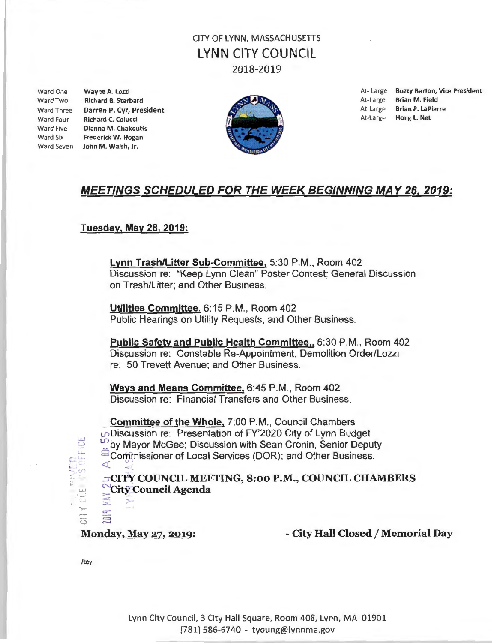Ward Two Richard B. Starbard **At-Large Brian M. Field** At-Large Brian M. Field Ward Four Richard C. Colucci Ward Five Dianna M. Chakoutis Ward Six Frederick W. Hogan Ward Seven John M. Walsh, Jr.



Ward One **Wayne A. Lozzi Community Community** Community Community Community At-Large Buzzy Barton, Vice President Ward Three **Darren P. Cyr, President At-Large Brian P. LaPierre** At-Large Brian P. LaPierre At-Large Brian P. LaPierre

### MEETINGS SCHEDULED FOR THE WEEK BEGINNING MAY 26, 2019:

#### Tuesday, May 28, 2019:

Lynn Trash/Litter Sub-Committee, 5:30 P.M., Room 402 Discussion re: "Keep Lynn Clean" Poster Contest; General Discussion on Trash/Litter; and Other Business.

Utilities Committee, 6:15 P.M., Room 402 Public Hearings on Utility Requests, and Other Business.

Public Safety and Public Health Committee,, 6:30 P.M., Room 402 Discussion re: Constable Re-Appointment, Demolition Order/Lozzi re: 50 Trevett Avenue; and Other Business.

Ways and Means Committee, 6:45 P.M., Room 402 Discussion re: Financial Transfers and Other Business.

Committee of the Whole, 7:00 P.M. , Council Chambers U">Discussion re: Presentation of FY'2020 City of Lynn Budget **D**by Mayor McGee; Discussion with Sean Cronin, Senior Deputy Commissioner of Local Services (DOR); and Other Business.

.::rCI'PY COUNCIL MEETING, 8:00 P.M., COUNCIL CHAMBERS  $\sum_{n=1}^{\infty}$ City Council Agenda

Monday, May 27, 2019: - City Hall Closed / Memorial Day

/tcy

 $\mathbb{C}$  $\Xi$ 

لغا<br>ت

 $C^{\perp}$  $2.5$ ' l ·-··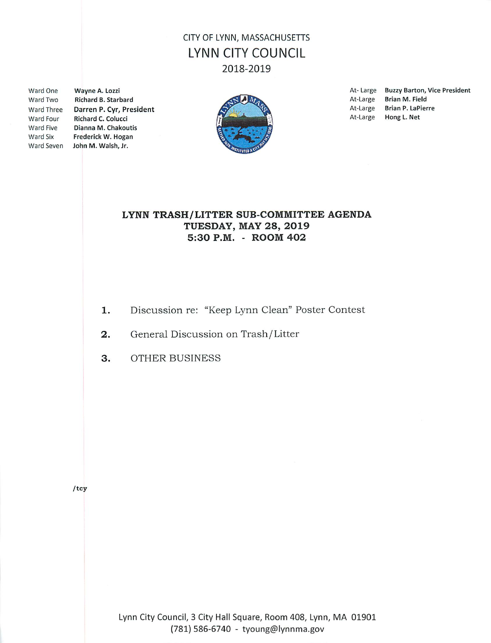**Ward One** Ward Two **Ward Four** Ward Five Ward Six

Wayne A. Lozzi **Richard B. Starbard** Ward Three Darren P. Cyr, President **Richard C. Colucci** Dianna M. Chakoutis Frederick W. Hogan Ward Seven John M. Walsh, Jr.



At-Large Buzzy Barton, Vice President At-Large **Brian M. Field** At-Large Brian P. LaPierre At-Large Hong L. Net

#### LYNN TRASH/LITTER SUB-COMMITTEE AGENDA **TUESDAY, MAY 28, 2019** 5:30 P.M. - ROOM 402

- Discussion re: "Keep Lynn Clean" Poster Contest 1.
- General Discussion on Trash/Litter  $2.$
- 3. **OTHER BUSINESS**

 $/$ tcy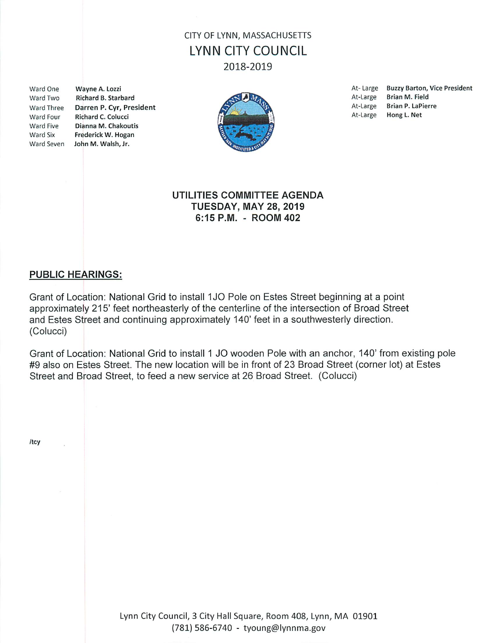Ward One Ward Two Ward Four Ward Five Ward Six

Wayne A. Lozzi Richard B. Starbard Ward Three Darren P. Cyr, President Richard C. Colucci Dianna M. Chakoutis Frederick W. Hogan Ward Seven John M. Walsh, Jr.



**Buzzy Barton, Vice President** At-Large At-Large **Brian M. Field** At-Large **Brian P. LaPierre** At-Large Hong L. Net

#### UTILITIES COMMITTEE AGENDA **TUESDAY, MAY 28, 2019** 6:15 P.M. - ROOM 402

### **PUBLIC HEARINGS:**

Grant of Location: National Grid to install 1JO Pole on Estes Street beginning at a point approximately 215' feet northeasterly of the centerline of the intersection of Broad Street and Estes Street and continuing approximately 140' feet in a southwesterly direction. (Colucci)

Grant of Location: National Grid to install 1 JO wooden Pole with an anchor, 140' from existing pole #9 also on Estes Street. The new location will be in front of 23 Broad Street (corner lot) at Estes Street and Broad Street, to feed a new service at 26 Broad Street. (Colucci)

/tcy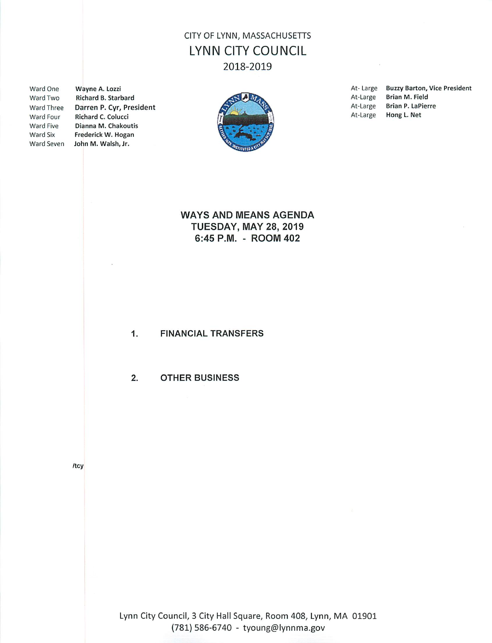Ward One Ward Two Ward Three Ward Four Ward Five Ward Six

Wayne A. Lozzi Richard B. Starbard Darren P. Cyr, President Richard C. Colucci Dianna M. Chakoutis Frederick W. Hogan Ward Seven John M. Walsh, Jr.



At-Large **Buzzy Barton, Vice President** At-Large **Brian M. Field** At-Large **Brian P. LaPierre** At-Large Hong L. Net

#### **WAYS AND MEANS AGENDA TUESDAY, MAY 28, 2019** 6:45 P.M. - ROOM 402

 $1.$ **FINANCIAL TRANSFERS** 

 $2.$ **OTHER BUSINESS** 

/tcy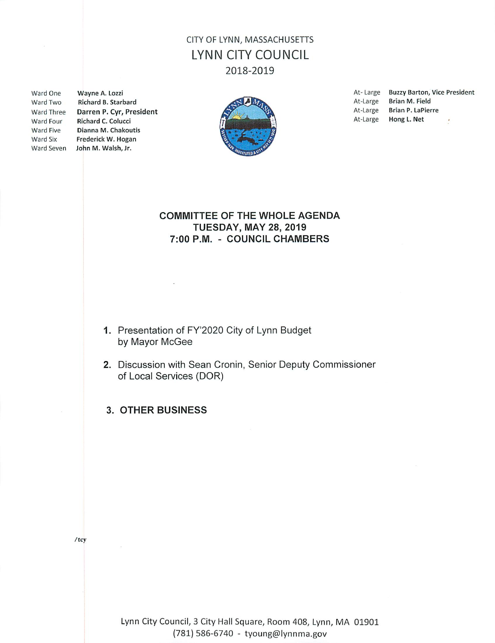Ward One Ward Two Ward Four

Wayne A. Lozzi Richard B. Starbard Ward Three Darren P. Cyr, President **Richard C. Colucci** Ward Five Dianna M. Chakoutis Ward Six Frederick W. Hogan Ward Seven John M. Walsh, Jr.



At-Large Buzzy Barton, Vice President **Brian M. Field** At-Large **Brian P. LaPierre** At-Large Hong L. Net At-Large ÷

#### **COMMITTEE OF THE WHOLE AGENDA TUESDAY, MAY 28, 2019** 7:00 P.M. - COUNCIL CHAMBERS

- 1. Presentation of FY'2020 City of Lynn Budget by Mayor McGee
- 2. Discussion with Sean Cronin, Senior Deputy Commissioner of Local Services (DOR)
- 3. OTHER BUSINESS

 $/$ tcy